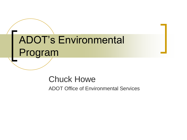# ADOT's Environmental Program

### Chuck Howe

ADOT Office of Environmental Services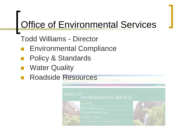Todd Williams - Director

- Environmental Compliance
- Policy & Standards
- Water Quality
- Roadside Resources3-23-183

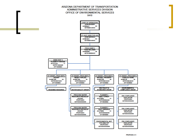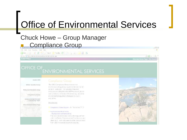### **Chuck Howe - Group Manager Compliance Group**

File F.R. Sine Forentes Tools Help

●Box - ○ - ■ 2 公 Down ☆Faces ※ 2 - ■ - ■ 2 名

Administration (Map yiedcanes) division site signification of lange (index , asp

#### **ADOTNet**

OFFICE OF ENVIRONMENTAL SERVICES

Inside OES

#### Compliance Group

Water Quality Group

Policy and Standards Group

Compilance Group Environmental Servant

Leedwiship Team OES Intranet Home Page

The OES Compliance Group insures that environment abregulatory requirements are medium al ALO activities. This includes mitoation measures resulting from the NEPA process, terms and conditions. If Section 404 semitimis and other environmental regulations that apply to HDCT. operations.

Downloads:

Compilance States Report - for Decent bet 2717

#### Findrommantal Work Urdai Background and Instructions

This new pre-reamental work endor request ferm is finited the District Environmental Counting one and other ALIO I staff who need to order vanous tasks. from CIES for non-development crojects.



 $-3x$ 

 $\sum$  on  $\sum$  on  $\sum$ 

Alternate Hema Page | Site Sparch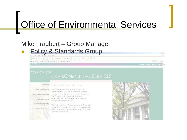### Mike Traubert - Group Manager

**Policy & Standards Group** 

P.o. Edit: May Favorites, Tools: Help

◎ kat - ○ - R 3 公 Disade 全 kactic ● ② - → B - → B - 2

Address (@) Nob ()edobret(di-k precastices(pc by Janc Joandards (naw Jasb

**ADDTNat** 

 $-1$   $-1$   $-1$   $-1$   $-1$ Alternate Home Page | Site Search

 $-15X$ 

1.38

#### OFFICE OF **ENVIRONMENTAL SERVICES**

biside OES. Water Quality Group Policy and Scredards Group Compliance Group: Environmental Servant Leecleridago Tesam OF 5 Jutrainet Home Page

The CES Policy and Standards Centry, with the assistance of the ACO - technical groups - develops critical environmental guvernance policy and guidance. This Group is also instrumental in the creation, cevelopment and mplementation of environmental management systems at ADOT

The Website for the Probly and Standards Octopistal? and the ADOT engineering sistricts while its Internet Website is for the consisting community, our tractors, culsibe agreem and the autrici-

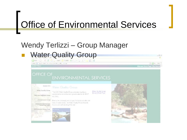### Wendy Terlizzi – Group Manager

**Water Quality Group** ● Bask - ○ - a | 語 - i | L Ebarch → Familles ● | ・ 。 ※ - 。 priders as the fluidades as presentationally public, the age **ADOTNet** OFFICE OF **ENVIRONMENTAL SERVICES** 



#### Water Quality Group

The OES Webs Guality Drugs oversees regulatory. reculiements on strikee and ground-valar for all ADOT. attales.

Due to the complesity and soupe of information who the area of water quality, he Water Quality Group intranet. I as is pan self-standing Web site



Water Quality Group Intranet Borice Page



 $= |2|x|$ 

 $=$   $\frac{1}{2}$  Gn  $=$  1 Els.  $^{10}$ 

**Alternate Home Page | Site Senro**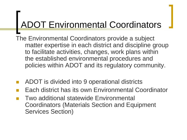## ADOT Environmental Coordinators

The Environmental Coordinators provide a subject matter expertise in each district and discipline group to facilitate activities, changes, work plans within the established environmental procedures and policies within ADOT and its regulatory community.

- ADOT is divided into 9 operational districts
- Each district has its own Environmental Coordinator
- Two additional statewide Environmental Coordinators (Materials Section and Equipment Services Section)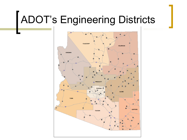# ADOT's Engineering Districts

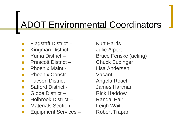### ADOT Environmental Coordinators

- Flagstaff District Kurt Harris
- Kingman District Julie Alpert
- 
- Prescott District Chuck Budinger
- Phoenix Maint Lisa Andersen
- Phoenix Constr Vacant
- Tucson District Angela Roach
- 
- Globe District Rick Haddow
- Holbrook District Randal Pair
- Materials Section Leigh Waite
- Equipment Services Robert Trapani

Yuma District – Bruce Fenske (acting) Safford District - James Hartman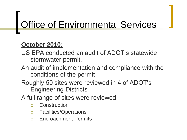### **October 2010:**

- US EPA conducted an audit of ADOT's statewide stormwater permit.
- An audit of implementation and compliance with the conditions of the permit
- Roughly 50 sites were reviewed in 4 of ADOT's Engineering Districts
- A full range of sites were reviewed
	- Construction
	- Facilities/Operations
	- Encroachment Permits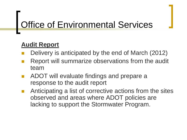### **Audit Report**

- Delivery is anticipated by the end of March (2012)
- Report will summarize observations from the audit team
- ADOT will evaluate findings and prepare a response to the audit report
- Anticipating a list of corrective actions from the sites observed and areas where ADOT policies are lacking to support the Stormwater Program.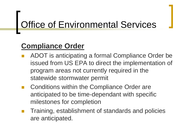### **Compliance Order**

- ADOT is anticipating a formal Compliance Order be issued from US EPA to direct the implementation of program areas not currently required in the statewide stormwater permit
- Conditions within the Compliance Order are anticipated to be time-dependant with specific milestones for completion
- Training, establishment of standards and policies are anticipated.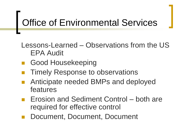Lessons-Learned – Observations from the US EPA Audit

- Good Housekeeping
- Timely Response to observations
- Anticipate needed BMPs and deployed features
- Erosion and Sediment Control both are required for effective control
- Document, Document, Document